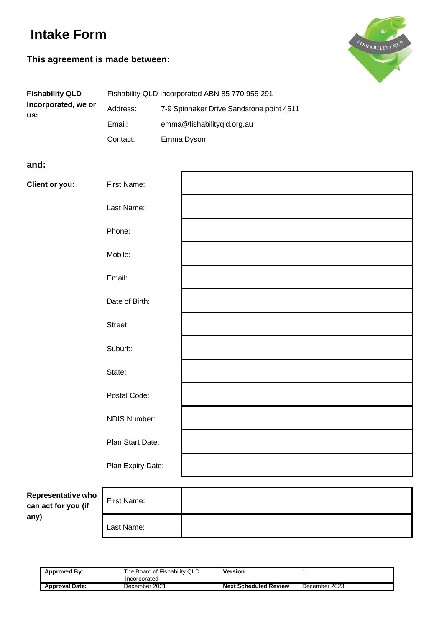# **Intake Form**

# **This agreement is made between:**



| <b>Fishability QLD</b>     |          | Fishability QLD Incorporated ABN 85 770 955 291 |
|----------------------------|----------|-------------------------------------------------|
| Incorporated, we or<br>us: | Address: | 7-9 Spinnaker Drive Sandstone point 4511        |
|                            | Email:   | emma@fishabilitygld.org.au                      |
|                            | Contact: | Emma Dyson                                      |

#### **and:**

| <b>Client or you:</b> | First Name:       |  |
|-----------------------|-------------------|--|
|                       | Last Name:        |  |
|                       | Phone:            |  |
|                       | Mobile:           |  |
|                       | Email:            |  |
|                       | Date of Birth:    |  |
|                       | Street:           |  |
|                       | Suburb:           |  |
|                       | State:            |  |
|                       | Postal Code:      |  |
|                       | NDIS Number:      |  |
|                       | Plan Start Date:  |  |
|                       | Plan Expiry Date: |  |

**Representative who can act for you (if any)**

| ۱O | First Name: |  |
|----|-------------|--|
|    | Last Name:  |  |

| <b>Approved By:</b>   | The Board of Fishability QLD | Version                      |               |
|-----------------------|------------------------------|------------------------------|---------------|
|                       | Incorporated                 |                              |               |
| <b>Approval Date:</b> | December 2021                | <b>Next Scheduled Review</b> | December 2023 |
|                       |                              |                              |               |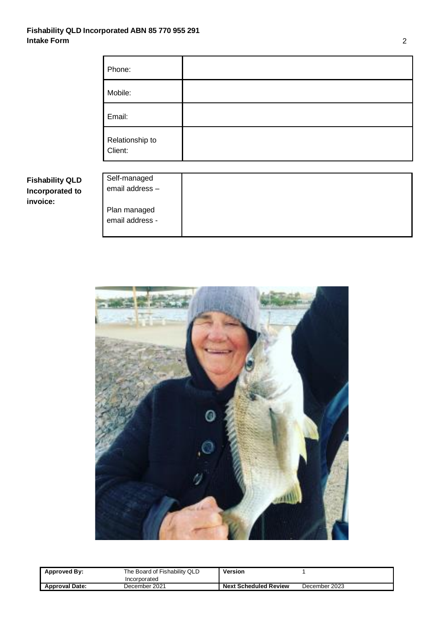#### **Fishability QLD Incorporated ABN 85 770 955 291 Intake Form** 2

**Fishability QLD Incorporated to**

**invoice:**

| Phone:                          |  |
|---------------------------------|--|
| Mobile:                         |  |
| Email:                          |  |
| Relationship to<br>Client:      |  |
| Self-managed<br>email address - |  |
| Plan managed<br>email address - |  |



| Approved By:          | The Board of Fishability QLD<br>Incorporated | Version                      |               |
|-----------------------|----------------------------------------------|------------------------------|---------------|
| <b>Approval Date:</b> | December 2021                                | <b>Next Scheduled Review</b> | December 2023 |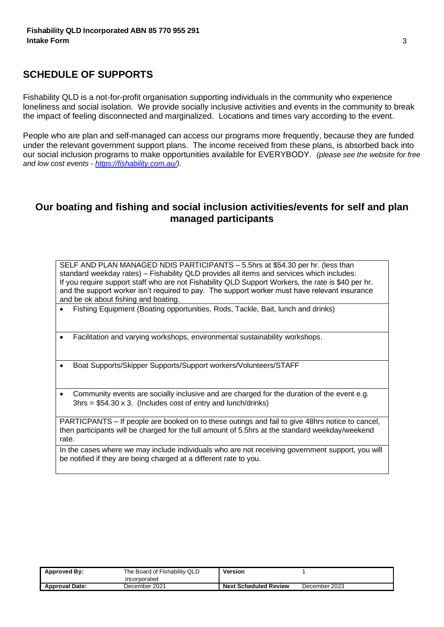## **SCHEDULE OF SUPPORTS**

Fishability QLD is a not-for-profit organisation supporting individuals in the community who experience loneliness and social isolation. We provide socially inclusive activities and events in the community to break the impact of feeling disconnected and marginalized. Locations and times vary according to the event.

People who are plan and self-managed can access our programs more frequently, because they are funded under the relevant government support plans. The income received from these plans, is absorbed back into our social inclusion programs to make opportunities available for EVERYBODY. *(please see the website for free and low cost events - [https://fishability.com.au/\)](https://fishability.com.au/).* 

## **Our boating and fishing and social inclusion activities/events for self and plan managed participants**

SELF AND PLAN MANAGED NDIS PARTICIPANTS – 5.5hrs at \$54.30 per hr. (less than standard weekday rates) – Fishability QLD provides all items and services which includes: If you require support staff who are not Fishability QLD Support Workers, the rate is \$40 per hr. and the support worker isn't required to pay. The support worker must have relevant insurance and be ok about fishing and boating.

- Fishing Equipment (Boating opportunities, Rods, Tackle, Bait, lunch and drinks)
- Facilitation and varying workshops, environmental sustainability workshops.
- Boat Supports/Skipper Supports/Support workers/Volunteers/STAFF
- Community events are socially inclusive and are charged for the duration of the event e.g.  $3hrs = $54.30 \times 3$ . (Includes cost of entry and lunch/drinks)

PARTICPANTS – If people are booked on to these outings and fail to give 48hrs notice to cancel, then participants will be charged for the full amount of 5.5hrs at the standard weekday/weekend rate.

In the cases where we may include individuals who are not receiving government support, you will be notified if they are being charged at a different rate to you.

| Approved By:          | The Board of Fishability QLD<br>Incorporated | Version                      |               |
|-----------------------|----------------------------------------------|------------------------------|---------------|
| <b>Approval Date:</b> | December 2021                                | <b>Next Scheduled Review</b> | December 2023 |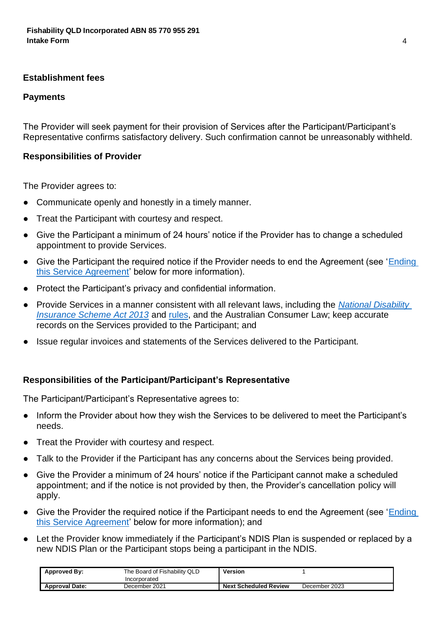#### **Establishment fees**

#### **Payments**

The Provider will seek payment for their provision of Services after the Participant/Participant's Representative confirms satisfactory delivery. Such confirmation cannot be unreasonably withheld.

### **Responsibilities of Provider**

The Provider agrees to:

- Communicate openly and honestly in a timely manner.
- Treat the Participant with courtesy and respect.
- Give the Participant a minimum of 24 hours' notice if the Provider has to change a scheduled appointment to provide Services.
- Give the Participant the required notice if the Provider needs to end the Agreement (see 'Ending this Service Agreement' below for more information).
- Protect the Participant's privacy and confidential information.
- Provide Services in a manner consistent with all relevant laws, including the *National Disability Insurance Scheme Act 2013* and rules, and the Australian Consumer Law; keep accurate records on the Services provided to the Participant; and
- Issue regular invoices and statements of the Services delivered to the Participant.

## **Responsibilities of the Participant/Participant's Representative**

The Participant/Participant's Representative agrees to:

- Inform the Provider about how they wish the Services to be delivered to meet the Participant's needs.
- Treat the Provider with courtesy and respect.
- Talk to the Provider if the Participant has any concerns about the Services being provided.
- Give the Provider a minimum of 24 hours' notice if the Participant cannot make a scheduled appointment; and if the notice is not provided by then, the Provider's cancellation policy will apply.
- Give the Provider the required notice if the Participant needs to end the Agreement (see 'Ending this Service Agreement' below for more information); and
- Let the Provider know immediately if the Participant's NDIS Plan is suspended or replaced by a new NDIS Plan or the Participant stops being a participant in the NDIS.

| Approved By:          | The Board of Fishability QLD | Version                      |               |
|-----------------------|------------------------------|------------------------------|---------------|
|                       | Incorporated                 |                              |               |
| <b>Approval Date:</b> | December 2021                | <b>Next Scheduled Review</b> | December 2023 |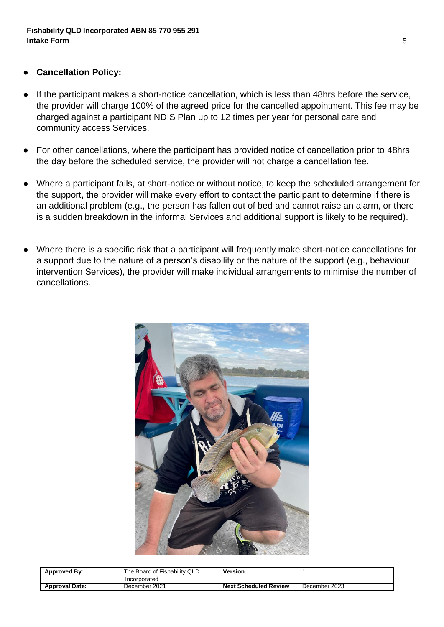- **Cancellation Policy:**
- If the participant makes a short-notice cancellation, which is less than 48hrs before the service, the provider will charge 100% of the agreed price for the cancelled appointment. This fee may be charged against a participant NDIS Plan up to 12 times per year for personal care and community access Services.
- For other cancellations, where the participant has provided notice of cancellation prior to 48hrs the day before the scheduled service, the provider will not charge a cancellation fee.
- Where a participant fails, at short-notice or without notice, to keep the scheduled arrangement for the support, the provider will make every effort to contact the participant to determine if there is an additional problem (e.g., the person has fallen out of bed and cannot raise an alarm, or there is a sudden breakdown in the informal Services and additional support is likely to be required).
- Where there is a specific risk that a participant will frequently make short-notice cancellations for a support due to the nature of a person's disability or the nature of the support (e.g., behaviour intervention Services), the provider will make individual arrangements to minimise the number of cancellations.



| Approved By:          | The Board of Fishability QLD<br>Incorporated | Version                      |               |
|-----------------------|----------------------------------------------|------------------------------|---------------|
| <b>Approval Date:</b> | December 2021                                | <b>Next Scheduled Review</b> | December 2023 |